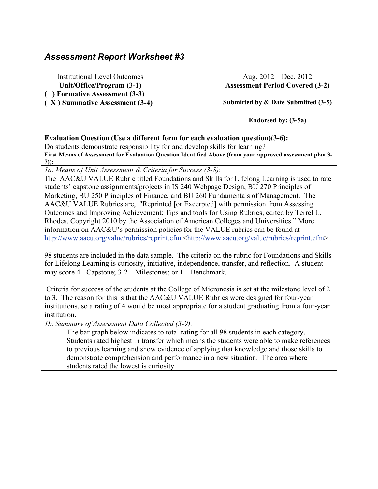## *Assessment Report Worksheet #3*

Institutional Level Outcomes Aug. 2012 – Dec. 2012

**( ) Formative Assessment (3-3)**

**Unit/Office/Program (3-1) Assessment Period Covered (3-2)**

**( X ) Summative Assessment (3-4) Submitted by & Date Submitted (3-5)**

**Endorsed by: (3-5a)**

## **Evaluation Question (Use a different form for each evaluation question)(3-6):**

Do students demonstrate responsibility for and develop skills for learning?

**First Means of Assessment for Evaluation Question Identified Above (from your approved assessment plan 3- 7)):**

*1a. Means of Unit Assessment & Criteria for Success (3-8)*:

The AAC&U VALUE Rubric titled Foundations and Skills for Lifelong Learning is used to rate students' capstone assignments/projects in IS 240 Webpage Design, BU 270 Principles of Marketing, BU 250 Principles of Finance, and BU 260 Fundamentals of Management. The AAC&U VALUE Rubrics are, "Reprinted [or Excerpted] with permission from Assessing Outcomes and Improving Achievement: Tips and tools for Using Rubrics, edited by Terrel L. Rhodes. Copyright 2010 by the Association of American Colleges and Universities." More information on AAC&U's permission policies for the VALUE rubrics can be found at http://www.aacu.org/value/rubrics/reprint.cfm <http://www.aacu.org/value/rubrics/reprint.cfm>.

98 students are included in the data sample. The criteria on the rubric for Foundations and Skills for Lifelong Learning is curiosity, initiative, independence, transfer, and reflection. A student may score 4 - Capstone; 3-2 – Milestones; or 1 – Benchmark.

Criteria for success of the students at the College of Micronesia is set at the milestone level of 2 to 3. The reason for this is that the AAC&U VALUE Rubrics were designed for four-year institutions, so a rating of 4 would be most appropriate for a student graduating from a four-year institution.

*1b. Summary of Assessment Data Collected (3-9):*

The bar graph below indicates to total rating for all 98 students in each category. Students rated highest in transfer which means the students were able to make references to previous learning and show evidence of applying that knowledge and those skills to demonstrate comprehension and performance in a new situation. The area where students rated the lowest is curiosity.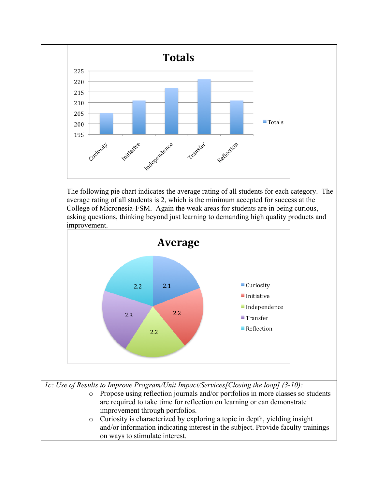

The following pie chart indicates the average rating of all students for each category. The average rating of all students is 2, which is the minimum accepted for success at the College of Micronesia-FSM. Again the weak areas for students are in being curious, asking questions, thinking beyond just learning to demanding high quality products and improvement.



o Propose using reflection journals and/or portfolios in more classes so students are required to take time for reflection on learning or can demonstrate improvement through portfolios.

o Curiosity is characterized by exploring a topic in depth, yielding insight and/or information indicating interest in the subject. Provide faculty trainings on ways to stimulate interest.